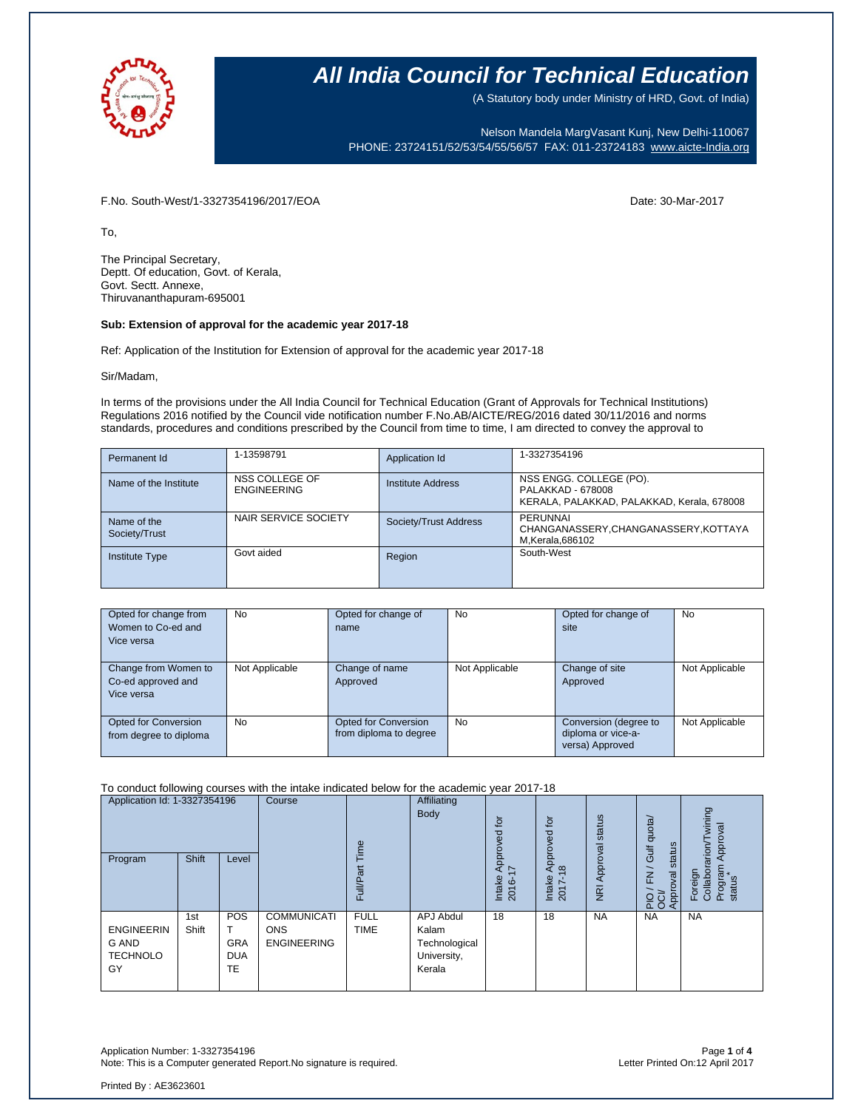

(A Statutory body under Ministry of HRD, Govt. of India)

Nelson Mandela MargVasant Kunj, New Delhi-110067 PHONE: 23724151/52/53/54/55/56/57 FAX: 011-23724183 [www.aicte-India.org](http://www.aicte-india.org/)

F.No. South-West/1-3327354196/2017/EOA Date: 30-Mar-2017

To,

The Principal Secretary, Deptt. Of education, Govt. of Kerala, Govt. Sectt. Annexe, Thiruvananthapuram-695001

#### **Sub: Extension of approval for the academic year 2017-18**

Ref: Application of the Institution for Extension of approval for the academic year 2017-18

Sir/Madam,

In terms of the provisions under the All India Council for Technical Education (Grant of Approvals for Technical Institutions) Regulations 2016 notified by the Council vide notification number F.No.AB/AICTE/REG/2016 dated 30/11/2016 and norms standards, procedures and conditions prescribed by the Council from time to time, I am directed to convey the approval to

| Permanent Id                 | 1-13598791                           | Application Id        | 1-3327354196                                                                               |
|------------------------------|--------------------------------------|-----------------------|--------------------------------------------------------------------------------------------|
| Name of the Institute        | NSS COLLEGE OF<br><b>ENGINEERING</b> | Institute Address     | NSS ENGG. COLLEGE (PO).<br>PALAKKAD - 678008<br>KERALA, PALAKKAD, PALAKKAD, Kerala, 678008 |
| Name of the<br>Society/Trust | NAIR SERVICE SOCIETY                 | Society/Trust Address | PERUNNAL<br>CHANGANASSERY, CHANGANASSERY, KOTTAYA<br>M, Kerala, 686102                     |
| <b>Institute Type</b>        | Govt aided                           | Region                | South-West                                                                                 |

| Opted for change from<br>Women to Co-ed and<br>Vice versa | No             | Opted for change of<br>name                           | <b>No</b>      | Opted for change of<br>site                                    | <b>No</b>      |
|-----------------------------------------------------------|----------------|-------------------------------------------------------|----------------|----------------------------------------------------------------|----------------|
| Change from Women to<br>Co-ed approved and<br>Vice versa  | Not Applicable | Change of name<br>Approved                            | Not Applicable | Change of site<br>Approved                                     | Not Applicable |
| Opted for Conversion<br>from degree to diploma            | <b>No</b>      | <b>Opted for Conversion</b><br>from diploma to degree | <b>No</b>      | Conversion (degree to<br>diploma or vice-a-<br>versa) Approved | Not Applicable |

#### To conduct following courses with the intake indicated below for the academic year 2017-18

| Application Id: 1-3327354196<br><b>Shift</b><br>Program<br>Level |              | Course                                | jme                                                    |                            | tor<br>್ಥಾ<br>Approv                                         | tor<br>roved<br>$\overline{8}$     | status<br>Approval          | Gulf quota/<br>status | wining<br>Approval<br>rarion/ |                                          |
|------------------------------------------------------------------|--------------|---------------------------------------|--------------------------------------------------------|----------------------------|--------------------------------------------------------------|------------------------------------|-----------------------------|-----------------------|-------------------------------|------------------------------------------|
|                                                                  |              |                                       |                                                        | Full/Par                   |                                                              | $\sim$<br>Intake<br>$\circ$<br>201 | $\infty$<br>Intake<br>2017- | $\overline{R}$        | $\geq$<br>Approval<br>운영      | Program<br>Foreign<br>Collabor<br>status |
| <b>ENGINEERIN</b><br>G AND<br><b>TECHNOLO</b><br>GY              | 1st<br>Shift | POS<br><b>GRA</b><br><b>DUA</b><br>TE | <b>COMMUNICATI</b><br><b>ONS</b><br><b>ENGINEERING</b> | <b>FULL</b><br><b>TIME</b> | APJ Abdul<br>Kalam<br>Technological<br>University,<br>Kerala | 18                                 | 18                          | <b>NA</b>             | <b>NA</b>                     | <b>NA</b>                                |

Application Number: 1-3327354196 Page **1** of **4** Note: This is a Computer generated Report.No signature is required.

Printed By : AE3623601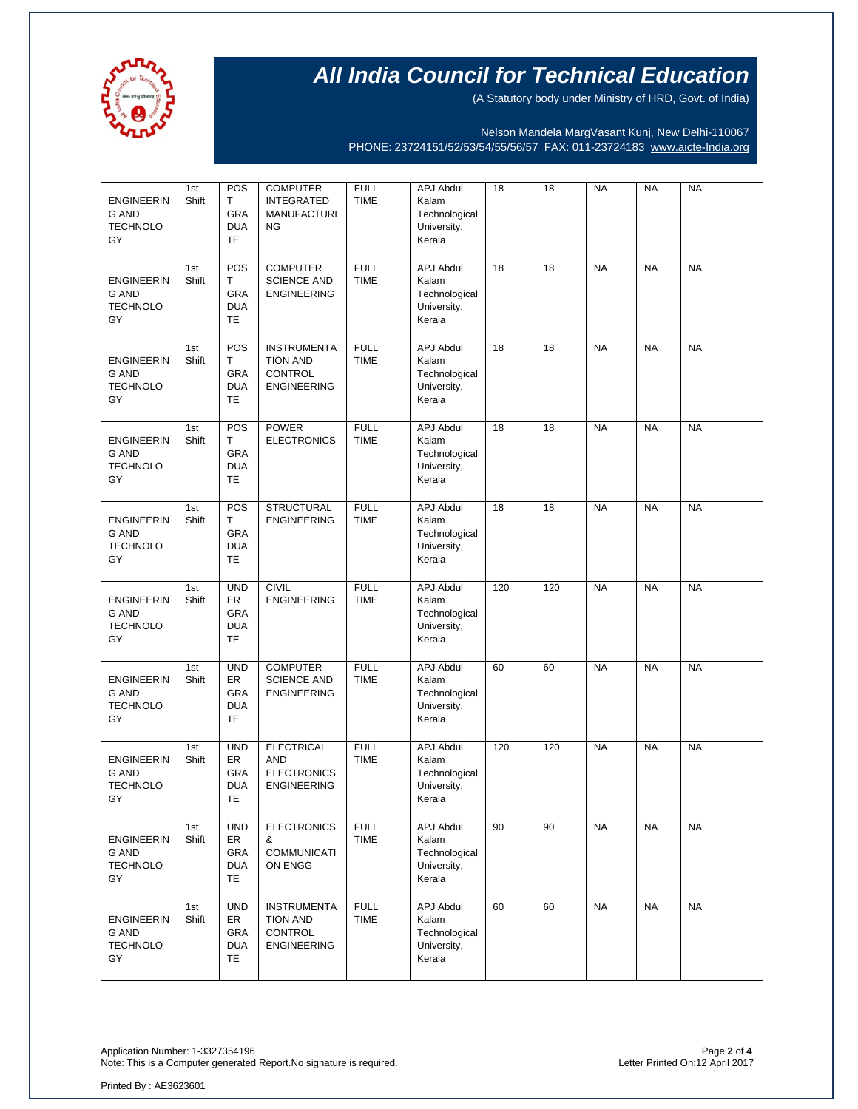

(A Statutory body under Ministry of HRD, Govt. of India)

Nelson Mandela MargVasant Kunj, New Delhi-110067 PHONE: 23724151/52/53/54/55/56/57 FAX: 011-23724183 [www.aicte-India.org](http://www.aicte-india.org/)

| <b>ENGINEERIN</b><br><b>G AND</b><br><b>TECHNOLO</b><br>GY | 1st<br>Shift | POS<br>$\mathsf{T}$<br><b>GRA</b><br><b>DUA</b><br><b>TE</b> | <b>COMPUTER</b><br><b>INTEGRATED</b><br><b>MANUFACTURI</b><br>ΝG              | <b>FULL</b><br><b>TIME</b> | <b>APJ Abdul</b><br>Kalam<br>Technological<br>University,<br>Kerala | 18  | 18  | <b>NA</b> | <b>NA</b> | <b>NA</b> |
|------------------------------------------------------------|--------------|--------------------------------------------------------------|-------------------------------------------------------------------------------|----------------------------|---------------------------------------------------------------------|-----|-----|-----------|-----------|-----------|
| <b>ENGINEERIN</b><br>G AND<br><b>TECHNOLO</b><br>GY        | 1st<br>Shift | POS<br>T<br>GRA<br><b>DUA</b><br>TE                          | <b>COMPUTER</b><br><b>SCIENCE AND</b><br><b>ENGINEERING</b>                   | <b>FULL</b><br><b>TIME</b> | <b>APJ Abdul</b><br>Kalam<br>Technological<br>University,<br>Kerala | 18  | 18  | <b>NA</b> | <b>NA</b> | <b>NA</b> |
| <b>ENGINEERIN</b><br>G AND<br><b>TECHNOLO</b><br>GY        | 1st<br>Shift | POS<br>T<br>GRA<br><b>DUA</b><br>TE                          | <b>INSTRUMENTA</b><br><b>TION AND</b><br>CONTROL<br><b>ENGINEERING</b>        | <b>FULL</b><br><b>TIME</b> | <b>APJ Abdul</b><br>Kalam<br>Technological<br>University,<br>Kerala | 18  | 18  | <b>NA</b> | <b>NA</b> | <b>NA</b> |
| <b>ENGINEERIN</b><br><b>G AND</b><br><b>TECHNOLO</b><br>GY | 1st<br>Shift | POS<br>T.<br>GRA<br><b>DUA</b><br>TE                         | <b>POWER</b><br><b>ELECTRONICS</b>                                            | <b>FULL</b><br><b>TIME</b> | <b>APJ Abdul</b><br>Kalam<br>Technological<br>University,<br>Kerala | 18  | 18  | <b>NA</b> | <b>NA</b> | <b>NA</b> |
| <b>ENGINEERIN</b><br><b>G AND</b><br><b>TECHNOLO</b><br>GY | 1st<br>Shift | POS<br>T<br>GRA<br><b>DUA</b><br>TE                          | <b>STRUCTURAL</b><br><b>ENGINEERING</b>                                       | <b>FULL</b><br><b>TIME</b> | <b>APJ Abdul</b><br>Kalam<br>Technological<br>University,<br>Kerala | 18  | 18  | <b>NA</b> | <b>NA</b> | <b>NA</b> |
| <b>ENGINEERIN</b><br><b>G AND</b><br><b>TECHNOLO</b><br>GY | 1st<br>Shift | <b>UND</b><br>ER<br>GRA<br><b>DUA</b><br>TE                  | <b>CIVIL</b><br><b>ENGINEERING</b>                                            | <b>FULL</b><br><b>TIME</b> | <b>APJ Abdul</b><br>Kalam<br>Technological<br>University,<br>Kerala | 120 | 120 | <b>NA</b> | <b>NA</b> | <b>NA</b> |
| <b>ENGINEERIN</b><br><b>G AND</b><br><b>TECHNOLO</b><br>GY | 1st<br>Shift | <b>UND</b><br>ER<br>GRA<br><b>DUA</b><br>TE                  | <b>COMPUTER</b><br><b>SCIENCE AND</b><br><b>ENGINEERING</b>                   | <b>FULL</b><br><b>TIME</b> | <b>APJ Abdul</b><br>Kalam<br>Technological<br>University,<br>Kerala | 60  | 60  | <b>NA</b> | <b>NA</b> | <b>NA</b> |
| <b>ENGINEERIN</b><br><b>G AND</b><br><b>TECHNOLO</b><br>GY | 1st<br>Shift | <b>UND</b><br>ER<br>GRA<br><b>DUA</b><br>TE                  | <b>ELECTRICAL</b><br><b>AND</b><br><b>ELECTRONICS</b><br><b>ENGINEERING</b>   | <b>FULL</b><br><b>TIME</b> | <b>APJ Abdul</b><br>Kalam<br>Technological<br>University,<br>Kerala | 120 | 120 | <b>NA</b> | <b>NA</b> | <b>NA</b> |
| <b>ENGINEERIN</b><br>G AND<br><b>TECHNOLO</b><br>GY        | 1st<br>Shift | <b>UND</b><br>ER<br><b>GRA</b><br><b>DUA</b><br>TE.          | <b>ELECTRONICS</b><br>&<br><b>COMMUNICATI</b><br>ON ENGG                      | <b>FULL</b><br><b>TIME</b> | <b>APJ Abdul</b><br>Kalam<br>Technological<br>University,<br>Kerala | 90  | 90  | <b>NA</b> | <b>NA</b> | <b>NA</b> |
| <b>ENGINEERIN</b><br>G AND<br><b>TECHNOLO</b><br>GY        | 1st<br>Shift | <b>UND</b><br>ER<br><b>GRA</b><br><b>DUA</b><br>TE.          | <b>INSTRUMENTA</b><br><b>TION AND</b><br><b>CONTROL</b><br><b>ENGINEERING</b> | <b>FULL</b><br><b>TIME</b> | <b>APJ Abdul</b><br>Kalam<br>Technological<br>University,<br>Kerala | 60  | 60  | <b>NA</b> | <b>NA</b> | <b>NA</b> |

Application Number: 1-3327354196 Page **2** of **4** Note: This is a Computer generated Report. No signature is required.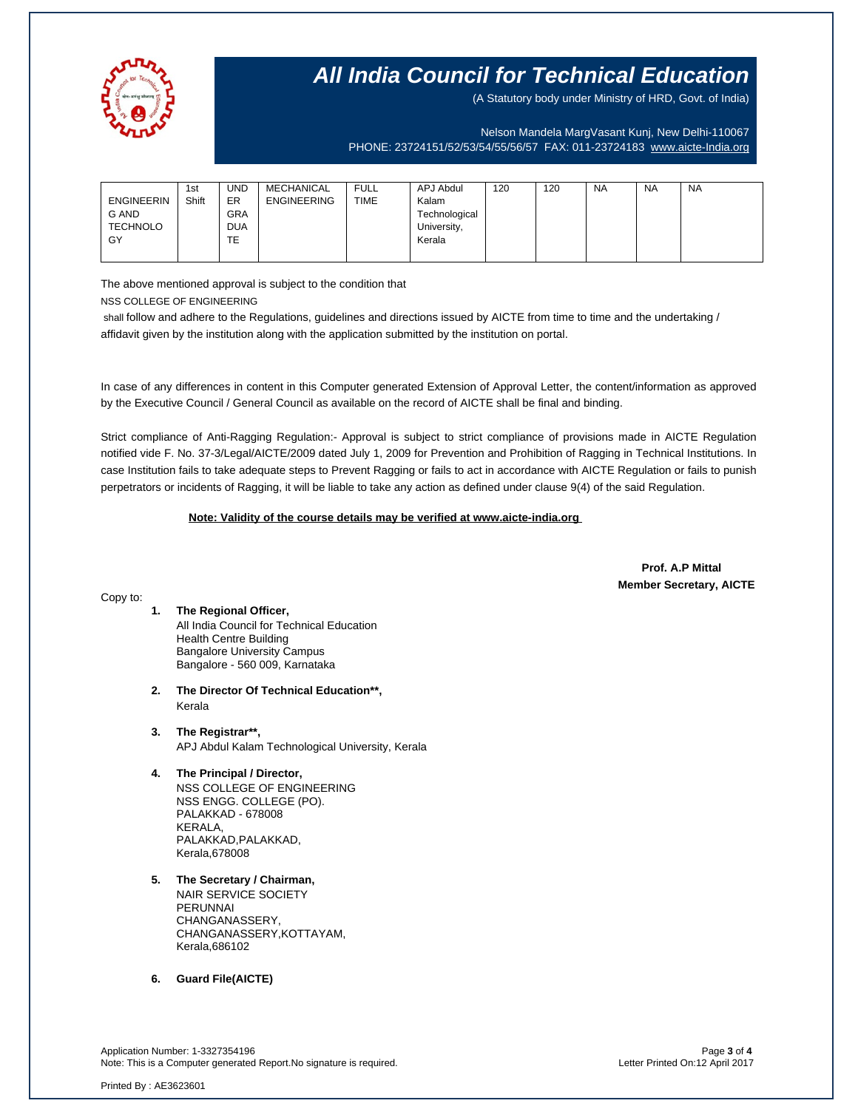

(A Statutory body under Ministry of HRD, Govt. of India)

Nelson Mandela MargVasant Kunj, New Delhi-110067 PHONE: 23724151/52/53/54/55/56/57 FAX: 011-23724183 [www.aicte-India.org](http://www.aicte-india.org/)

| <b>ENGINEERIN</b> | 1st<br>Shift | <b>UND</b><br>ER | MECHANICAL<br><b>ENGINEERING</b> | <b>FULL</b><br><b>TIME</b> | APJ Abdul<br>Kalam | 120 | 120 | <b>NA</b> | <b>NA</b> | <b>NA</b> |
|-------------------|--------------|------------------|----------------------------------|----------------------------|--------------------|-----|-----|-----------|-----------|-----------|
| <b>G AND</b>      |              | <b>GRA</b>       |                                  |                            | Technological      |     |     |           |           |           |
| <b>TECHNOLO</b>   |              | <b>DUA</b>       |                                  |                            | University,        |     |     |           |           |           |
| GY                |              | TE               |                                  |                            | Kerala             |     |     |           |           |           |
|                   |              |                  |                                  |                            |                    |     |     |           |           |           |

The above mentioned approval is subject to the condition that

NSS COLLEGE OF ENGINEERING

shall follow and adhere to the Regulations, guidelines and directions issued by AICTE from time to time and the undertaking / affidavit given by the institution along with the application submitted by the institution on portal.

In case of any differences in content in this Computer generated Extension of Approval Letter, the content/information as approved by the Executive Council / General Council as available on the record of AICTE shall be final and binding.

Strict compliance of Anti-Ragging Regulation:- Approval is subject to strict compliance of provisions made in AICTE Regulation notified vide F. No. 37-3/Legal/AICTE/2009 dated July 1, 2009 for Prevention and Prohibition of Ragging in Technical Institutions. In case Institution fails to take adequate steps to Prevent Ragging or fails to act in accordance with AICTE Regulation or fails to punish perpetrators or incidents of Ragging, it will be liable to take any action as defined under clause 9(4) of the said Regulation.

 **Note: Validity of the course details may be verified at www.aicte-india.org** 

 **Prof. A.P Mittal Member Secretary, AICTE**

### Copy to:

- **1. The Regional Officer,** All India Council for Technical Education Health Centre Building Bangalore University Campus Bangalore - 560 009, Karnataka
- **2. The Director Of Technical Education\*\*,** Kerala
- **3. The Registrar\*\*,** APJ Abdul Kalam Technological University, Kerala
- **4. The Principal / Director,**

NSS COLLEGE OF ENGINEERING NSS ENGG. COLLEGE (PO). PALAKKAD - 678008 KERALA, PALAKKAD,PALAKKAD, Kerala,678008

**5. The Secretary / Chairman,** NAIR SERVICE SOCIETY PERUNNAI CHANGANASSERY, CHANGANASSERY,KOTTAYAM, Kerala,686102

**6. Guard File(AICTE)**

Application Number: 1-3327354196 Page **3** of **4** Note: This is a Computer generated Report.No signature is required.